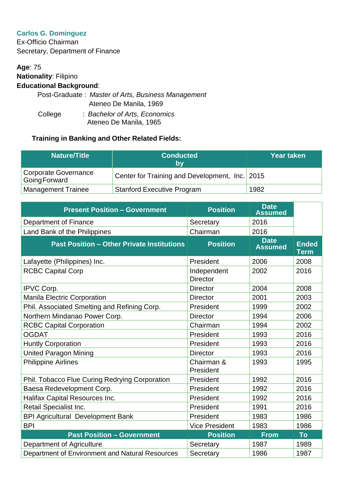## **Carlos G. Dominguez**

Ex-Officio Chairman Secretary, Department of Finance

## **Age**: 75 **Nationality**: Filipino **Educational Background**: Post-Graduate : *Master of Arts, Business Management* Ateneo De Manila, 1969

 College : *Bachelor of Arts, Economics* Ateneo De Manila, 1965

| <b>Nature/Title</b>                  | <b>Conducted</b><br>bv                         | <b>Year taken</b> |
|--------------------------------------|------------------------------------------------|-------------------|
| Corporate Governance<br>GoingForward | Center for Training and Development, Inc. 2015 |                   |
| <b>Management Trainee</b>            | <b>Stanford Executive Program</b>              | 1982              |

| <b>Present Position - Government</b>              | <b>Position</b>                | <b>Date</b><br><b>Assumed</b> |                             |
|---------------------------------------------------|--------------------------------|-------------------------------|-----------------------------|
| Department of Finance                             | Secretary                      | 2016                          |                             |
| Land Bank of the Philippines                      | Chairman                       | 2016                          |                             |
| <b>Past Position - Other Private Institutions</b> | <b>Position</b>                | <b>Date</b><br><b>Assumed</b> | <b>Ended</b><br><b>Term</b> |
| Lafayette (Philippines) Inc.                      | President                      | 2006                          | 2008                        |
| <b>RCBC Capital Corp</b>                          | Independent<br><b>Director</b> | 2002                          | 2016                        |
| IPVC Corp.                                        | <b>Director</b>                | 2004                          | 2008                        |
| <b>Manila Electric Corporation</b>                | <b>Director</b>                | 2001                          | 2003                        |
| Phil. Associated Smelting and Refining Corp.      | President                      | 1999                          | 2002                        |
| Northern Mindanao Power Corp.                     | <b>Director</b>                | 1994                          | 2006                        |
| <b>RCBC Capital Corporation</b>                   | Chairman                       | 1994                          | 2002                        |
| <b>OGDAT</b>                                      | President                      | 1993                          | 2016                        |
| <b>Huntly Corporation</b>                         | President                      | 1993                          | 2016                        |
| <b>United Paragon Mining</b>                      | <b>Director</b>                | 1993                          | 2016                        |
| <b>Philippine Airlines</b>                        | Chairman &<br>President        | 1993                          | 1995                        |
| Phil. Tobacco Flue Curing Redrying Corporation    | President                      | 1992                          | 2016                        |
| Baesa Redevelopment Corp.                         | President                      | 1992                          | 2016                        |
| Halifax Capital Resources Inc.                    | President                      | 1992                          | 2016                        |
| Retail Specialist Inc.                            | President                      | 1991                          | 2016                        |
| <b>BPI Agricultural Development Bank</b>          | President                      | 1983                          | 1986                        |
| <b>BPI</b>                                        | <b>Vice President</b>          | 1983                          | 1986                        |
| <b>Past Position - Government</b>                 | <b>Position</b>                | <b>From</b>                   | <b>To</b>                   |
| Department of Agriculture                         | Secretary                      | 1987                          | 1989                        |
| Department of Environment and Natural Resources   | Secretary                      | 1986                          | 1987                        |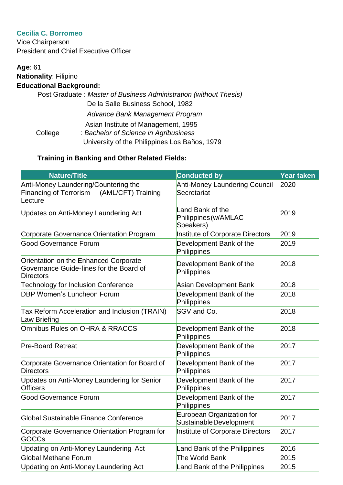# **Cecilia C. Borromeo**

Vice Chairperson President and Chief Executive Officer

# **Age**: 61 **Nationality**: Filipino **Educational Background:**

| De la Salle Business School, 1982<br>Advance Bank Management Program<br>Asian Institute of Management, 1995<br>: Bachelor of Science in Agribusiness<br>College<br>University of the Philippines Los Baños, 1979 |  | Post Graduate: Master of Business Administration (without Thesis) |
|------------------------------------------------------------------------------------------------------------------------------------------------------------------------------------------------------------------|--|-------------------------------------------------------------------|
|                                                                                                                                                                                                                  |  |                                                                   |
|                                                                                                                                                                                                                  |  |                                                                   |
|                                                                                                                                                                                                                  |  |                                                                   |
|                                                                                                                                                                                                                  |  |                                                                   |
|                                                                                                                                                                                                                  |  |                                                                   |

| <b>Nature/Title</b>                                                                                    | <b>Conducted by</b>                                   | Year taken |
|--------------------------------------------------------------------------------------------------------|-------------------------------------------------------|------------|
| Anti-Money Laundering/Countering the<br>(AML/CFT) Training<br><b>Financing of Terrorism</b><br>Lecture | <b>Anti-Money Laundering Council</b><br>Secretariat   | 2020       |
| Updates on Anti-Money Laundering Act                                                                   | Land Bank of the<br>Philippines (w/AMLAC<br>Speakers) | 2019       |
| <b>Corporate Governance Orientation Program</b>                                                        | Institute of Corporate Directors                      | 2019       |
| <b>Good Governance Forum</b>                                                                           | Development Bank of the<br>Philippines                | 2019       |
| Orientation on the Enhanced Corporate<br>Governance Guide-lines for the Board of<br><b>Directors</b>   | Development Bank of the<br>Philippines                | 2018       |
| <b>Technology for Inclusion Conference</b>                                                             | <b>Asian Development Bank</b>                         | 2018       |
| <b>DBP Women's Luncheon Forum</b>                                                                      | Development Bank of the<br>Philippines                | 2018       |
| Tax Reform Acceleration and Inclusion (TRAIN)<br>Law Briefing                                          | SGV and Co.                                           | 2018       |
| Omnibus Rules on OHRA & RRACCS                                                                         | Development Bank of the<br>Philippines                | 2018       |
| <b>Pre-Board Retreat</b>                                                                               | Development Bank of the<br>Philippines                | 2017       |
| Corporate Governance Orientation for Board of<br><b>Directors</b>                                      | Development Bank of the<br>Philippines                | 2017       |
| Updates on Anti-Money Laundering for Senior<br><b>Officers</b>                                         | Development Bank of the<br>Philippines                | 2017       |
| <b>Good Governance Forum</b>                                                                           | Development Bank of the<br>Philippines                | 2017       |
| Global Sustainable Finance Conference                                                                  | European Organization for<br>Sustainable Development  | 2017       |
| Corporate Governance Orientation Program for<br>GOCCs                                                  | Institute of Corporate Directors                      | 2017       |
| Updating on Anti-Money Laundering Act                                                                  | Land Bank of the Philippines                          | 2016       |
| Global Methane Forum                                                                                   | The World Bank                                        | 2015       |
| <b>Updating on Anti-Money Laundering Act</b>                                                           | Land Bank of the Philippines                          | 2015       |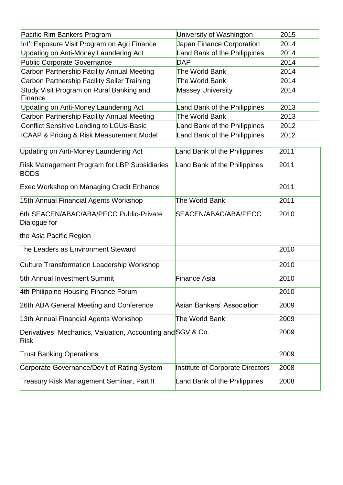| Pacific Rim Bankers Program                                         | University of Washington          | 2015 |
|---------------------------------------------------------------------|-----------------------------------|------|
| Int'l Exposure Visit Program on Agri Finance                        | Japan Finance Corporation         | 2014 |
| <b>Updating on Anti-Money Laundering Act</b>                        | Land Bank of the Philippines      | 2014 |
| <b>Public Corporate Governance</b>                                  | <b>DAP</b>                        | 2014 |
| Carbon Partnership Facility Annual Meeting                          | The World Bank                    | 2014 |
| Carbon Partnership Facility Seller Training                         | The World Bank                    | 2014 |
| Study Visit Program on Rural Banking and<br>Finance                 | <b>Massey University</b>          | 2014 |
| <b>Updating on Anti-Money Laundering Act</b>                        | Land Bank of the Philippines      | 2013 |
| Carbon Partnership Facility Annual Meeting                          | The World Bank                    | 2013 |
| <b>Conflict Sensitive Lending to LGUs-Basic</b>                     | Land Bank of the Philippines      | 2012 |
| <b>ICAAP &amp; Pricing &amp; Risk Measurement Model</b>             | Land Bank of the Philippines      | 2012 |
| Updating on Anti-Money Laundering Act                               | Land Bank of the Philippines      | 2011 |
| Risk Management Program for LBP Subsidiaries<br><b>BODS</b>         | Land Bank of the Philippines      | 2011 |
| <b>Exec Workshop on Managing Credit Enhance</b>                     |                                   | 2011 |
| 15th Annual Financial Agents Workshop                               | The World Bank                    | 2011 |
| 6th SEACEN/ABAC/ABA/PECC Public-Private<br>Dialogue for             | SEACEN/ABAC/ABA/PECC              | 2010 |
| the Asia Pacific Region                                             |                                   |      |
| The Leaders as Environment Steward                                  |                                   | 2010 |
| <b>Culture Transformation Leadership Workshop</b>                   |                                   | 2010 |
| 5th Annual Investment Summit                                        | <b>Finance Asia</b>               | 2010 |
| 4th Philippine Housing Finance Forum                                |                                   | 2010 |
| 26th ABA General Meeting and Conference                             | <b>Asian Bankers' Association</b> | 2009 |
| 13th Annual Financial Agents Workshop                               | The World Bank                    | 2009 |
| Derivatives: Mechanics, Valuation, Accounting and SGV & Co.<br>Risk |                                   | 2009 |
| <b>Trust Banking Operations</b>                                     |                                   | 2009 |
| Corporate Governance/Dev't of Rating System                         | Institute of Corporate Directors  | 2008 |
| <b>Treasury Risk Management Seminar, Part II</b>                    | Land Bank of the Philippines      | 2008 |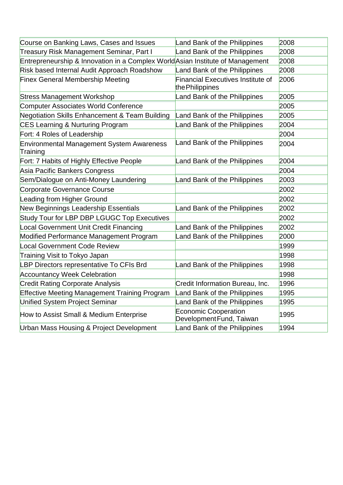| Course on Banking Laws, Cases and Issues                                       | Land Bank of the Philippines                                | 2008 |
|--------------------------------------------------------------------------------|-------------------------------------------------------------|------|
| Treasury Risk Management Seminar, Part I                                       | Land Bank of the Philippines                                | 2008 |
| Entrepreneurship & Innovation in a Complex World Asian Institute of Management |                                                             | 2008 |
| Risk based Internal Audit Approach Roadshow                                    | Land Bank of the Philippines                                | 2008 |
| <b>Finex General Membership Meeting</b>                                        | <b>Financial Executives Institute of</b><br>the Philippines | 2006 |
| <b>Stress Management Workshop</b>                                              | Land Bank of the Philippines                                | 2005 |
| <b>Computer Associates World Conference</b>                                    |                                                             | 2005 |
| <b>Negotiation Skills Enhancement &amp; Team Building</b>                      | Land Bank of the Philippines                                | 2005 |
| <b>CES Learning &amp; Nurturing Program</b>                                    | Land Bank of the Philippines                                | 2004 |
| Fort: 4 Roles of Leadership                                                    |                                                             | 2004 |
| <b>Environmental Management System Awareness</b><br>Training                   | Land Bank of the Philippines                                | 2004 |
| Fort: 7 Habits of Highly Effective People                                      | Land Bank of the Philippines                                | 2004 |
| Asia Pacific Bankers Congress                                                  |                                                             | 2004 |
| Sem/Dialogue on Anti-Money Laundering                                          | Land Bank of the Philippines                                | 2003 |
| Corporate Governance Course                                                    |                                                             | 2002 |
| Leading from Higher Ground                                                     |                                                             | 2002 |
| New Beginnings Leadership Essentials                                           | Land Bank of the Philippines                                | 2002 |
| Study Tour for LBP DBP LGUGC Top Executives                                    |                                                             | 2002 |
| <b>Local Government Unit Credit Financing</b>                                  | Land Bank of the Philippines                                | 2002 |
| Modified Performance Management Program                                        | Land Bank of the Philippines                                | 2000 |
| <b>Local Government Code Review</b>                                            |                                                             | 1999 |
| Training Visit to Tokyo Japan                                                  |                                                             | 1998 |
| LBP Directors representative To CFIs Brd                                       | Land Bank of the Philippines                                | 1998 |
| <b>Accountancy Week Celebration</b>                                            |                                                             | 1998 |
| <b>Credit Rating Corporate Analysis</b>                                        | Credit Information Bureau, Inc.                             | 1996 |
| <b>Effective Meeting Management Training Program</b>                           | Land Bank of the Philippines                                | 1995 |
| Unified System Project Seminar                                                 | Land Bank of the Philippines                                | 1995 |
| How to Assist Small & Medium Enterprise                                        | <b>Economic Cooperation</b><br>Development Fund, Taiwan     | 1995 |
| Urban Mass Housing & Project Development                                       | Land Bank of the Philippines                                | 1994 |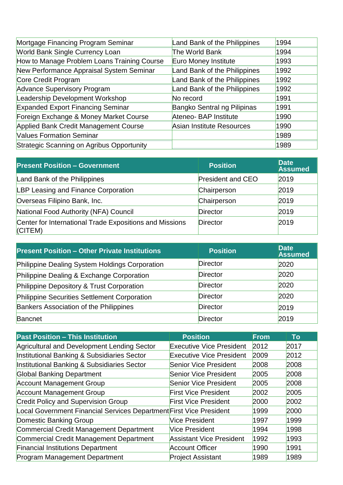| Mortgage Financing Program Seminar               | Land Bank of the Philippines     | 1994 |
|--------------------------------------------------|----------------------------------|------|
| <b>World Bank Single Currency Loan</b>           | The World Bank                   | 1994 |
| How to Manage Problem Loans Training Course      | Euro Money Institute             | 1993 |
| New Performance Appraisal System Seminar         | Land Bank of the Philippines     | 1992 |
| Core Credit Program                              | Land Bank of the Philippines     | 1992 |
| <b>Advance Supervisory Program</b>               | Land Bank of the Philippines     | 1992 |
| Leadership Development Workshop                  | No record                        | 1991 |
| <b>Expanded Export Financing Seminar</b>         | Bangko Sentral ng Pilipinas      | 1991 |
| Foreign Exchange & Money Market Course           | Ateneo- BAP Institute            | 1990 |
| Applied Bank Credit Management Course            | <b>Asian Institute Resources</b> | 1990 |
| <b>Values Formation Seminar</b>                  |                                  | 1989 |
| <b>Strategic Scanning on Agribus Opportunity</b> |                                  | 1989 |

| <b>Present Position - Government</b>                                   | <b>Position</b>          | <b>Date</b><br><b>Assumed</b> |
|------------------------------------------------------------------------|--------------------------|-------------------------------|
| Land Bank of the Philippines                                           | <b>President and CEO</b> | 2019                          |
| LBP Leasing and Finance Corporation                                    | Chairperson              | 2019                          |
| Overseas Filipino Bank, Inc.                                           | Chairperson              | 2019                          |
| National Food Authority (NFA) Council                                  | <b>Director</b>          | 2019                          |
| Center for International Trade Expositions and Missions<br>$ $ (CITEM) | Director                 | 2019                          |

| <b>Present Position - Other Private Institutions</b> | <b>Position</b> | <b>Date</b><br><b>Assumed</b> |
|------------------------------------------------------|-----------------|-------------------------------|
| Philippine Dealing System Holdings Corporation       | <b>Director</b> | 2020                          |
| Philippine Dealing & Exchange Corporation            | Director        | 2020                          |
| Philippine Depository & Trust Corporation            | <b>Director</b> | 2020                          |
| Philippine Securities Settlement Corporation         | Director        | 2020                          |
| Bankers Association of the Philippines               | Director        | 2019                          |
| Bancnet                                              | Director        | 2019                          |

| <b>Past Position - This Institution</b>                             | <b>Position</b>                 | <b>From</b> | To   |
|---------------------------------------------------------------------|---------------------------------|-------------|------|
| Agricultural and Development Lending Sector                         | <b>Executive Vice President</b> | 2012        | 2017 |
| Institutional Banking & Subsidiaries Sector                         | <b>Executive Vice President</b> | 2009        | 2012 |
| Institutional Banking & Subsidiaries Sector                         | <b>Senior Vice President</b>    | 2008        | 2008 |
| <b>Global Banking Department</b>                                    | <b>Senior Vice President</b>    | 2005        | 2008 |
| <b>Account Management Group</b>                                     | <b>Senior Vice President</b>    | 2005        | 2008 |
| <b>Account Management Group</b>                                     | <b>First Vice President</b>     | 2002        | 2005 |
| <b>Credit Policy and Supervision Group</b>                          | <b>First Vice President</b>     | 2000        | 2002 |
| Local Government Financial Services Department First Vice President |                                 | 1999        | 2000 |
| Domestic Banking Group                                              | Vice President                  | 1997        | 1999 |
| Commercial Credit Management Department                             | <b>Vice President</b>           | 1994        | 1998 |
| Commercial Credit Management Department                             | <b>Assistant Vice President</b> | 1992        | 1993 |
| <b>Financial Institutions Department</b>                            | <b>Account Officer</b>          | 1990        | 1991 |
| <b>Program Management Department</b>                                | <b>Project Assistant</b>        | 1989        | 1989 |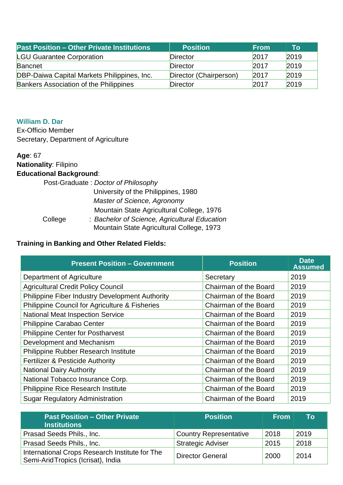| <b>Past Position - Other Private Institutions</b> | <b>Position</b>        | <b>From</b> | Τo   |
|---------------------------------------------------|------------------------|-------------|------|
| <b>LGU Guarantee Corporation</b>                  | Director               | 2017        | 2019 |
| Bancnet                                           | Director               | 2017        | 2019 |
| DBP-Daiwa Capital Markets Philippines, Inc.       | Director (Chairperson) | 2017        | 2019 |
| <b>Bankers Association of the Philippines</b>     | Director               | 2017        | 2019 |

### **William D. Dar**

Ex-Officio Member Secretary, Department of Agriculture

#### **Age**: 67

**Nationality**: Filipino **Educational Background**:

 Post-Graduate : *Doctor of Philosophy* University of the Philippines, 1980  *Master of Science, Agronomy* Mountain State Agricultural College, 1976 College : *Bachelor of Science, Agricultural Education* Mountain State Agricultural College, 1973

| <b>Present Position - Government</b>            | <b>Position</b>       | <b>Date</b><br><b>Assumed</b> |
|-------------------------------------------------|-----------------------|-------------------------------|
| Department of Agriculture                       | Secretary             | 2019                          |
| <b>Agricultural Credit Policy Council</b>       | Chairman of the Board | 2019                          |
| Philippine Fiber Industry Development Authority | Chairman of the Board | 2019                          |
| Philippine Council for Agriculture & Fisheries  | Chairman of the Board | 2019                          |
| <b>National Meat Inspection Service</b>         | Chairman of the Board | 2019                          |
| Philippine Carabao Center                       | Chairman of the Board | 2019                          |
| <b>Philippine Center for Postharvest</b>        | Chairman of the Board | 2019                          |
| Development and Mechanism                       | Chairman of the Board | 2019                          |
| Philippine Rubber Research Institute            | Chairman of the Board | 2019                          |
| <b>Fertilizer &amp; Pesticide Authority</b>     | Chairman of the Board | 2019                          |
| <b>National Dairy Authority</b>                 | Chairman of the Board | 2019                          |
| National Tobacco Insurance Corp.                | Chairman of the Board | 2019                          |
| <b>Philippine Rice Research Institute</b>       | Chairman of the Board | 2019                          |
| <b>Sugar Regulatory Administration</b>          | Chairman of the Board | 2019                          |

| <b>Past Position - Other Private</b><br><b>Institutions</b>                         | <b>Position</b>               | <b>From</b> | To   |
|-------------------------------------------------------------------------------------|-------------------------------|-------------|------|
| Prasad Seeds Phils., Inc.                                                           | <b>Country Representative</b> | 2018        | 2019 |
| Prasad Seeds Phils., Inc.                                                           | <b>Strategic Adviser</b>      | 2015        | 2018 |
| International Crops Research Institute for The<br>Semi-AridTropics (Icrisat), India | <b>Director General</b>       | 2000        | 2014 |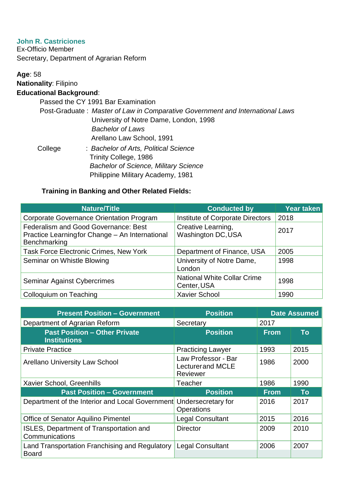### **John R. Castriciones**

Ex-Officio Member Secretary, Department of Agrarian Reform

# **Age**: 58 **Nationality**: Filipino

# **Educational Background**:

Passed the CY 1991 Bar Examination

|         | Post-Graduate: Master of Law in Comparative Government and International Laws |
|---------|-------------------------------------------------------------------------------|
|         | University of Notre Dame, London, 1998                                        |
|         | <b>Bachelor of Laws</b>                                                       |
|         | Arellano Law School, 1991                                                     |
| College | : Bachelor of Arts, Political Science                                         |
|         | Trinity College, 1986                                                         |
|         | <b>Bachelor of Science, Military Science</b>                                  |

# **Training in Banking and Other Related Fields:**

Philippine Military Academy, 1981

| <b>Nature/Title</b>                                                                                    | <b>Conducted by</b>                               | <b>Year taken</b> |
|--------------------------------------------------------------------------------------------------------|---------------------------------------------------|-------------------|
| <b>Corporate Governance Orientation Program</b>                                                        | Institute of Corporate Directors                  | 2018              |
| Federalism and Good Governance: Best<br>Practice Learningfor Change – An International<br>Benchmarking | Creative Learning,<br><b>Washington DC, USA</b>   | 2017              |
| <b>Task Force Electronic Crimes, New York</b>                                                          | Department of Finance, USA                        | 2005              |
| Seminar on Whistle Blowing                                                                             | University of Notre Dame,<br>London               | 1998              |
| Seminar Against Cybercrimes                                                                            | <b>National White Collar Crime</b><br>Center, USA | 1998              |
| Colloquium on Teaching                                                                                 | <b>Xavier School</b>                              | 1990              |

| <b>Present Position - Government</b>                           | <b>Position</b>                                            |             | <b>Date Assumed</b> |
|----------------------------------------------------------------|------------------------------------------------------------|-------------|---------------------|
| Department of Agrarian Reform                                  | Secretary                                                  | 2017        |                     |
| <b>Past Position - Other Private</b><br><b>Institutions</b>    | <b>Position</b>                                            | <b>From</b> | To                  |
| <b>Private Practice</b>                                        | <b>Practicing Lawyer</b>                                   | 1993        | 2015                |
| <b>Arellano University Law School</b>                          | Law Professor - Bar<br><b>Lecturerand MCLE</b><br>Reviewer | 1986        | 2000                |
| Xavier School, Greenhills                                      | Teacher                                                    | 1986        | 1990                |
| <b>Past Position - Government</b>                              | <b>Position</b>                                            | <b>From</b> | To                  |
| Department of the Interior and Local Government                | Undersecretary for<br>Operations                           | 2016        | 2017                |
| <b>Office of Senator Aquilino Pimentel</b>                     | <b>Legal Consultant</b>                                    | 2015        | 2016                |
| ISLES, Department of Transportation and<br>Communications      | <b>Director</b>                                            | 2009        | 2010                |
| Land Transportation Franchising and Regulatory<br><b>Board</b> | <b>Legal Consultant</b>                                    | 2006        | 2007                |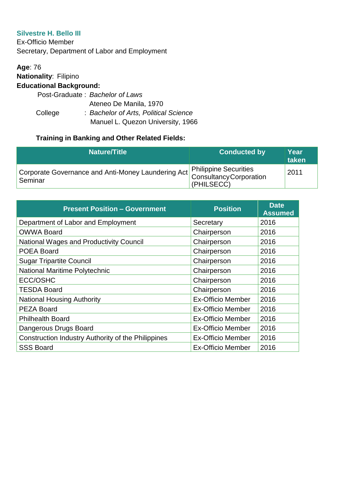### **Silvestre H. Bello III**

Ex-Officio Member Secretary, Department of Labor and Employment

**Age**: 76 **Nationality**: Filipino **Educational Background:** Post-Graduate : *Bachelor of Laws* Ateneo De Manila, 1970

> College : *Bachelor of Arts, Political Science* Manuel L. Quezon University, 1966

| <b>Nature/Title</b>                                                                            | <b>Conducted by</b> | Year<br>taken |
|------------------------------------------------------------------------------------------------|---------------------|---------------|
| Corporate Governance and Anti-Money Laundering Act Philippine Securities<br>Seminar<br>Seminar | (PHILSECC)          | 2011          |

| <b>Present Position - Government</b>               | <b>Position</b>          | <b>Date</b><br><b>Assumed</b> |
|----------------------------------------------------|--------------------------|-------------------------------|
| Department of Labor and Employment                 | Secretary                | 2016                          |
| <b>OWWA Board</b>                                  | Chairperson              | 2016                          |
| <b>National Wages and Productivity Council</b>     | Chairperson              | 2016                          |
| <b>POEA Board</b>                                  | Chairperson              | 2016                          |
| <b>Sugar Tripartite Council</b>                    | Chairperson              | 2016                          |
| National Maritime Polytechnic                      | Chairperson              | 2016                          |
| <b>ECC/OSHC</b>                                    | Chairperson              | 2016                          |
| <b>TESDA Board</b>                                 | Chairperson              | 2016                          |
| <b>National Housing Authority</b>                  | <b>Ex-Officio Member</b> | 2016                          |
| <b>PEZA Board</b>                                  | <b>Ex-Officio Member</b> | 2016                          |
| <b>Philhealth Board</b>                            | <b>Ex-Officio Member</b> | 2016                          |
| Dangerous Drugs Board                              | <b>Ex-Officio Member</b> | 2016                          |
| Construction Industry Authority of the Philippines | <b>Ex-Officio Member</b> | 2016                          |
| <b>SSS Board</b>                                   | <b>Ex-Officio Member</b> | 2016                          |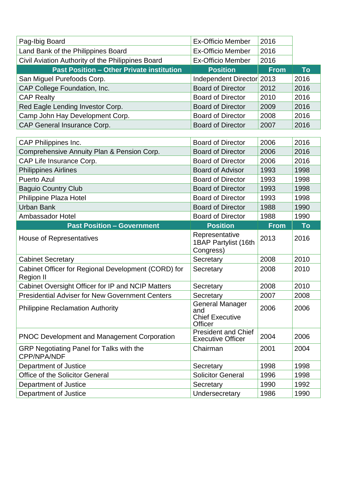| Pag-Ibig Board                                                          | <b>Ex-Officio Member</b>                                    | 2016        |           |
|-------------------------------------------------------------------------|-------------------------------------------------------------|-------------|-----------|
| Land Bank of the Philippines Board                                      | <b>Ex-Officio Member</b>                                    | 2016        |           |
| Civil Aviation Authority of the Philippines Board                       | <b>Ex-Officio Member</b>                                    | 2016        |           |
| <b>Past Position - Other Private institution</b>                        | <b>Position</b>                                             | <b>From</b> | <b>To</b> |
| San Miguel Purefoods Corp.                                              | Independent Director 2013                                   |             | 2016      |
| CAP College Foundation, Inc.                                            | <b>Board of Director</b>                                    | 2012        | 2016      |
| <b>CAP Realty</b>                                                       | <b>Board of Director</b>                                    | 2010        | 2016      |
| Red Eagle Lending Investor Corp.                                        | <b>Board of Director</b>                                    | 2009        | 2016      |
| Camp John Hay Development Corp.                                         | <b>Board of Director</b>                                    | 2008        | 2016      |
| CAP General Insurance Corp.                                             | <b>Board of Director</b>                                    | 2007        | 2016      |
|                                                                         |                                                             |             |           |
| CAP Philippines Inc.                                                    | <b>Board of Director</b>                                    | 2006        | 2016      |
| Comprehensive Annuity Plan & Pension Corp.                              | <b>Board of Director</b>                                    | 2006        | 2016      |
| CAP Life Insurance Corp.                                                | <b>Board of Director</b>                                    | 2006        | 2016      |
| <b>Philippines Airlines</b>                                             | <b>Board of Advisor</b>                                     | 1993        | 1998      |
| <b>Puerto Azul</b>                                                      | <b>Board of Director</b>                                    | 1993        | 1998      |
| <b>Baguio Country Club</b>                                              | <b>Board of Director</b>                                    | 1993        | 1998      |
| Philippine Plaza Hotel                                                  | <b>Board of Director</b>                                    | 1993        | 1998      |
| <b>Urban Bank</b>                                                       | <b>Board of Director</b>                                    | 1988        | 1990      |
|                                                                         |                                                             |             |           |
| Ambassador Hotel                                                        | <b>Board of Director</b>                                    | 1988        | 1990      |
| <b>Past Position - Government</b>                                       | <b>Position</b>                                             | <b>From</b> | <b>To</b> |
| <b>House of Representatives</b>                                         | Representative<br>1BAP Partylist (16th<br>Congress)         | 2013        | 2016      |
| <b>Cabinet Secretary</b>                                                | Secretary                                                   | 2008        | 2010      |
| Cabinet Officer for Regional Development (CORD) for<br><b>Region II</b> | Secretary                                                   | 2008        | 2010      |
| Cabinet Oversight Officer for IP and NCIP Matters                       | Secretary                                                   | 2008        | 2010      |
| <b>Presidential Adviser for New Government Centers</b>                  | Secretary                                                   | 2007        | 2008      |
| <b>Philippine Reclamation Authority</b>                                 | General Manager<br>and<br><b>Chief Executive</b><br>Officer | 2006        | 2006      |
| <b>PNOC Development and Management Corporation</b>                      | <b>President and Chief</b><br><b>Executive Officer</b>      | 2004        | 2006      |
| GRP Negotiating Panel for Talks with the<br><b>CPP/NPA/NDF</b>          | Chairman                                                    | 2001        | 2004      |
| Department of Justice                                                   | Secretary                                                   | 1998        | 1998      |
| <b>Office of the Solicitor General</b>                                  | <b>Solicitor General</b>                                    | 1996        | 1998      |
| Department of Justice                                                   | Secretary                                                   | 1990        | 1992      |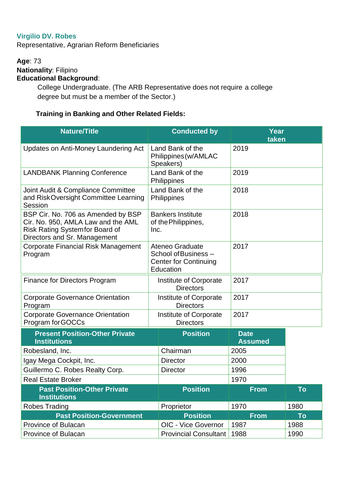# **Virgilio DV. Robes**

Representative, Agrarian Reform Beneficiaries

**Age**: 73 **Nationality**: Filipino **Educational Background**:

> College Undergraduate. (The ARB Representative does not require a college degree but must be a member of the Sector.)

| <b>Nature/Title</b>                                                                                                                        | <b>Conducted by</b>                                                                  | Year<br>taken                 |      |
|--------------------------------------------------------------------------------------------------------------------------------------------|--------------------------------------------------------------------------------------|-------------------------------|------|
| Updates on Anti-Money Laundering Act                                                                                                       | Land Bank of the<br>Philippines (w/AMLAC<br>Speakers)                                | 2019                          |      |
| <b>LANDBANK Planning Conference</b>                                                                                                        | Land Bank of the<br>Philippines                                                      | 2019                          |      |
| Joint Audit & Compliance Committee<br>and Risk Oversight Committee Learning<br>Session                                                     | Land Bank of the<br>2018<br>Philippines                                              |                               |      |
| BSP Cir. No. 706 as Amended by BSP<br>Cir. No. 950, AMLA Law and the AML<br>Risk Rating Systemfor Board of<br>Directors and Sr. Management | <b>Bankers Institute</b><br>of the Philippines,<br>Inc.                              | 2018                          |      |
| <b>Corporate Financial Risk Management</b><br>Program                                                                                      | Ateneo Graduate<br>School of Business -<br><b>Center for Continuing</b><br>Education | 2017                          |      |
| <b>Finance for Directors Program</b>                                                                                                       | Institute of Corporate<br><b>Directors</b>                                           | 2017                          |      |
| <b>Corporate Governance Orientation</b><br>Program                                                                                         | Institute of Corporate<br><b>Directors</b>                                           | 2017                          |      |
| <b>Corporate Governance Orientation</b><br>Program for GOCCs                                                                               | Institute of Corporate<br><b>Directors</b>                                           | 2017                          |      |
| <b>Present Position-Other Private</b><br><b>Institutions</b>                                                                               | <b>Position</b>                                                                      | <b>Date</b><br><b>Assumed</b> |      |
| Robesland, Inc.                                                                                                                            | Chairman                                                                             | 2005                          |      |
| Igay Mega Cockpit, Inc.                                                                                                                    | <b>Director</b>                                                                      | 2000                          |      |
| Guillermo C. Robes Realty Corp.                                                                                                            | <b>Director</b>                                                                      | 1996                          |      |
| <b>Real Estate Broker</b>                                                                                                                  |                                                                                      | 1970                          |      |
| <b>Past Position-Other Private</b><br><b>Institutions</b>                                                                                  | <b>Position</b>                                                                      | <b>From</b>                   | To   |
| <b>Robes Trading</b>                                                                                                                       | Proprietor                                                                           | 1970                          | 1980 |
| <b>Past Position-Government</b>                                                                                                            | <b>Position</b>                                                                      | <b>From</b>                   | To   |
| Province of Bulacan                                                                                                                        | OIC - Vice Governor                                                                  | 1987                          | 1988 |
| Province of Bulacan                                                                                                                        | <b>Provincial Consultant</b>                                                         | 1988                          | 1990 |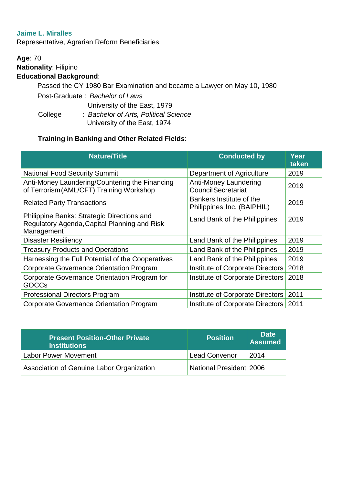### **Jaime L. Miralles**

Representative, Agrarian Reform Beneficiaries

**Age**: 70 **Nationality**: Filipino **Educational Background**: Passed the CY 1980 Bar Examination and became a Lawyer on May 10, 1980 Post-Graduate : *Bachelor of Laws* University of the East, 1979

 College : *Bachelor of Arts, Political Science* University of the East, 1974

| <b>Nature/Title</b>                                                                                      | <b>Conducted by</b>                                     | Year<br>taken |
|----------------------------------------------------------------------------------------------------------|---------------------------------------------------------|---------------|
| <b>National Food Security Summit</b>                                                                     | Department of Agriculture                               | 2019          |
| Anti-Money Laundering/Countering the Financing<br>of Terrorism (AML/CFT) Training Workshop               | Anti-Money Laundering<br><b>Council Secretariat</b>     | 2019          |
| <b>Related Party Transactions</b>                                                                        | Bankers Institute of the<br>Philippines, Inc. (BAIPHIL) | 2019          |
| Philippine Banks: Strategic Directions and<br>Regulatory Agenda, Capital Planning and Risk<br>Management | Land Bank of the Philippines                            | 2019          |
| <b>Disaster Resiliency</b>                                                                               | Land Bank of the Philippines                            | 2019          |
| <b>Treasury Products and Operations</b>                                                                  | Land Bank of the Philippines                            | 2019          |
| Harnessing the Full Potential of the Cooperatives                                                        | Land Bank of the Philippines                            | 2019          |
| <b>Corporate Governance Orientation Program</b>                                                          | Institute of Corporate Directors                        | 2018          |
| Corporate Governance Orientation Program for<br><b>GOCCs</b>                                             | Institute of Corporate Directors                        | 2018          |
| <b>Professional Directors Program</b>                                                                    | Institute of Corporate Directors                        | 2011          |
| <b>Corporate Governance Orientation Program</b>                                                          | Institute of Corporate Directors                        | 2011          |

| <b>Present Position-Other Private</b><br><b>Institutions</b> | <b>Position</b>         | <b>Date</b><br><b>Assumed</b> |
|--------------------------------------------------------------|-------------------------|-------------------------------|
| Labor Power Movement                                         | Lead Convenor           | 2014                          |
| Association of Genuine Labor Organization                    | National President 2006 |                               |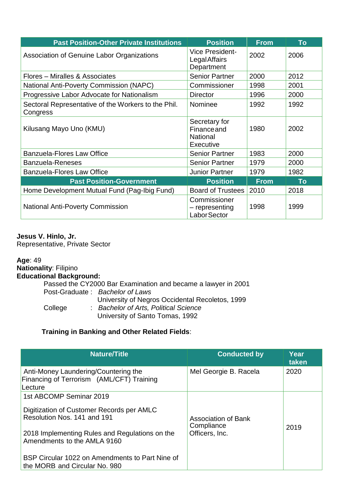| <b>Past Position-Other Private Institutions</b>                 | <b>Position</b>                                                     | <b>From</b> | To   |
|-----------------------------------------------------------------|---------------------------------------------------------------------|-------------|------|
| Association of Genuine Labor Organizations                      | <b>Vice President-</b><br><b>Legal Affairs</b><br>Department        | 2002        | 2006 |
| Flores – Miralles & Associates                                  | <b>Senior Partner</b>                                               | 2000        | 2012 |
| National Anti-Poverty Commission (NAPC)                         | Commissioner                                                        | 1998        | 2001 |
| Progressive Labor Advocate for Nationalism                      | <b>Director</b>                                                     | 1996        | 2000 |
| Sectoral Representative of the Workers to the Phil.<br>Congress | Nominee                                                             | 1992        | 1992 |
| Kilusang Mayo Uno (KMU)                                         | Secretary for<br><b>Finance and</b><br><b>National</b><br>Executive | 1980        | 2002 |
| <b>Banzuela-Flores Law Office</b>                               | <b>Senior Partner</b>                                               | 1983        | 2000 |
| <b>Banzuela-Reneses</b>                                         | <b>Senior Partner</b>                                               | 1979        | 2000 |
| <b>Banzuela-Flores Law Office</b>                               | <b>Junior Partner</b>                                               | 1979        | 1982 |
| <b>Past Position-Government</b>                                 | <b>Position</b>                                                     | <b>From</b> | To   |
| Home Development Mutual Fund (Pag-Ibig Fund)                    | <b>Board of Trustees</b>                                            | 2010        | 2018 |
| <b>National Anti-Poverty Commission</b>                         | Commissioner<br>- representing<br>Labor Sector                      | 1998        | 1999 |

### **Jesus V. Hinlo, Jr.**

Representative, Private Sector

**Age**: 49 **Nationality**: Filipino **Educational Background:** Passed the CY2000 Bar Examination and became a lawyer in 2001 Post-Graduate : *Bachelor of Laws* University of Negros Occidental Recoletos, 1999 College : *Bachelor of Arts, Political Science* University of Santo Tomas, 1992

| <b>Nature/Title</b>                                                                                                                                                                                                                                                      | <b>Conducted by</b>                                        | Year<br>taken |
|--------------------------------------------------------------------------------------------------------------------------------------------------------------------------------------------------------------------------------------------------------------------------|------------------------------------------------------------|---------------|
| Anti-Money Laundering/Countering the<br>Financing of Terrorism (AML/CFT) Training<br>Lecture                                                                                                                                                                             | Mel Georgie B. Racela                                      | 2020          |
| 1st ABCOMP Seminar 2019<br>Digitization of Customer Records per AMLC<br>Resolution Nos. 141 and 191<br>2018 Implementing Rules and Regulations on the<br>Amendments to the AMLA 9160<br>BSP Circular 1022 on Amendments to Part Nine of<br>the MORB and Circular No. 980 | <b>Association of Bank</b><br>Compliance<br>Officers, Inc. | 2019          |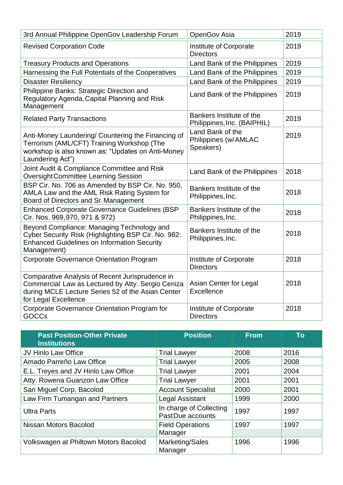| 3rd Annual Philippine OpenGov Leadership Forum                                                                                                                                    | <b>OpenGov Asia</b>                                     | 2019 |
|-----------------------------------------------------------------------------------------------------------------------------------------------------------------------------------|---------------------------------------------------------|------|
| <b>Revised Corporation Code</b>                                                                                                                                                   | Institute of Corporate<br><b>Directors</b>              | 2019 |
| <b>Treasury Products and Operations</b>                                                                                                                                           | Land Bank of the Philippines                            | 2019 |
| Harnessing the Full Potentials of the Cooperatives                                                                                                                                | Land Bank of the Philippines                            | 2019 |
| <b>Disaster Resiliency</b>                                                                                                                                                        | Land Bank of the Philippines                            | 2019 |
| Philippine Banks: Strategic Direction and<br>Regulatory Agenda, Capital Planning and Risk<br>Management                                                                           | Land Bank of the Philippines                            | 2019 |
| <b>Related Party Transactions</b>                                                                                                                                                 | Bankers Institute of the<br>Philippines, Inc. (BAIPHIL) | 2019 |
| Anti-Money Laundering/ Countering the Financing of<br>Terrorism (AML/CFT) Training Workshop (The<br>workshop is also known as: "Updates on Anti-Money<br>Laundering Act")         | Land Bank of the<br>Philippines (w/AMLAC<br>Speakers)   | 2019 |
| Joint Audit & Compliance Committee and Risk<br><b>OversightCommittee Learning Session</b>                                                                                         | Land Bank of the Philippines                            | 2018 |
| BSP Cir. No. 706 as Amended by BSP Cir. No. 950,<br>AMLA Law and the AML Risk Rating System for<br>Board of Directors and Sr. Management                                          | Bankers Institute of the<br>Philippines, Inc.           | 2018 |
| <b>Enhanced Corporate Governance Guidelines (BSP</b><br>Cir. Nos. 969, 970, 971 & 972)                                                                                            | Bankers Institute of the<br>Philippines, Inc.           | 2018 |
| Beyond Compliance: Managing Technology and<br>Cyber Security Risk (Highlighting BSP Cir. No. 982:<br><b>Enhanced Guidelines on Information Security</b><br>Management)            | Bankers Institute of the<br>Philippines, Inc.           | 2018 |
| <b>Corporate Governance Orientation Program</b>                                                                                                                                   | Institute of Corporate<br><b>Directors</b>              | 2018 |
| Comparative Analysis of Recent Jurisprudence in<br>Commercial Law as Lectured by Atty. Sergio Ceniza<br>during MCLE Lecture Series 52 of the Asian Center<br>for Legal Excellence | Asian Center for Legal<br>Excellence                    | 2018 |
| Corporate Governance Orientation Program for<br><b>GOCCs</b>                                                                                                                      | Institute of Corporate<br><b>Directors</b>              | 2018 |

| <b>Past Position-Other Private</b><br><b>Institutions</b> | <b>Position</b>                              | <b>From</b> | To   |
|-----------------------------------------------------------|----------------------------------------------|-------------|------|
| JV Hinlo Law Office                                       | <b>Trial Lawyer</b>                          | 2008        | 2016 |
| Amado Parreño Law Office                                  | <b>Trial Lawyer</b>                          | 2005        | 2008 |
| E.L. Treyes and JV Hinlo Law Office                       | <b>Trial Lawyer</b>                          | 2001        | 2004 |
| Atty. Rowena Guanzon Law Office                           | <b>Trial Lawyer</b>                          | 2001        | 2001 |
| San Miguel Corp. Bacolod                                  | <b>Account Specialist</b>                    | 2000        | 2001 |
| Law Firm Tumangan and Partners                            | <b>Legal Assistant</b>                       | 1999        | 2000 |
| <b>Ultra Parts</b>                                        | In charge of Collecting<br>Past Due accounts | 1997        | 1997 |
| Nissan Motors Bacolod                                     | <b>Field Operations</b>                      | 1997        | 1997 |
|                                                           | Manager                                      |             |      |
| Volkswagen at Philtown Motors Bacolod                     | Marketing/Sales<br>Manager                   | 1996        | 1996 |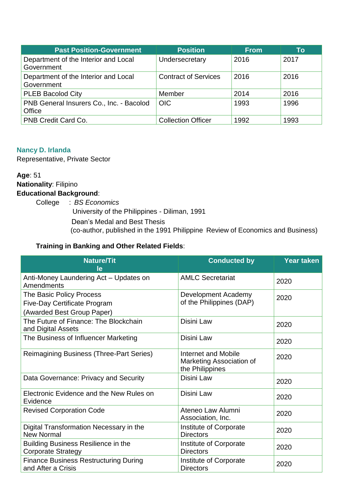| <b>Past Position-Government</b>                    | <b>Position</b>             | <b>From</b> | To   |
|----------------------------------------------------|-----------------------------|-------------|------|
| Department of the Interior and Local<br>Government | Undersecretary              | 2016        | 2017 |
| Department of the Interior and Local<br>Government | <b>Contract of Services</b> | 2016        | 2016 |
| <b>PLEB Bacolod City</b>                           | Member                      | 2014        | 2016 |
| PNB General Insurers Co., Inc. - Bacolod<br>Office | <b>OIC</b>                  | 1993        | 1996 |
| PNB Credit Card Co.                                | <b>Collection Officer</b>   | 1992        | 1993 |

## **Nancy D. Irlanda**

Representative, Private Sector

## **Age**: 51 **Nationality**: Filipino **Educational Background**:

College : *BS Economics*

University of the Philippines - Diliman, 1991

Dean's Medal and Best Thesis

(co-author, published in the 1991 Philippine Review of Economics and Business)

| <b>Nature/Tit</b><br>le                                                                       | <b>Conducted by</b>                                                | <b>Year taken</b> |
|-----------------------------------------------------------------------------------------------|--------------------------------------------------------------------|-------------------|
| Anti-Money Laundering Act - Updates on<br>Amendments                                          | <b>AMLC Secretariat</b>                                            | 2020              |
| The Basic Policy Process<br><b>Five-Day Certificate Program</b><br>(Awarded Best Group Paper) | Development Academy<br>of the Philippines (DAP)                    | 2020              |
| The Future of Finance: The Blockchain<br>and Digital Assets                                   | Disini Law                                                         | 2020              |
| The Business of Influencer Marketing                                                          | Disini Law                                                         | 2020              |
| <b>Reimagining Business (Three-Part Series)</b>                                               | Internet and Mobile<br>Marketing Association of<br>the Philippines | 2020              |
| Data Governance: Privacy and Security                                                         | Disini Law                                                         | 2020              |
| Electronic Evidence and the New Rules on<br>Evidence                                          | Disini Law                                                         | 2020              |
| <b>Revised Corporation Code</b>                                                               | Ateneo Law Alumni<br>Association, Inc.                             | 2020              |
| Digital Transformation Necessary in the<br><b>New Normal</b>                                  | Institute of Corporate<br><b>Directors</b>                         | 2020              |
| <b>Building Business Resilience in the</b><br><b>Corporate Strategy</b>                       | Institute of Corporate<br><b>Directors</b>                         | 2020              |
| <b>Finance Business Restructuring During</b><br>and After a Crisis                            | Institute of Corporate<br><b>Directors</b>                         | 2020              |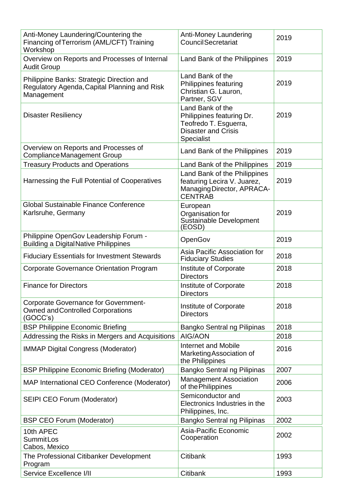| Anti-Money Laundering/Countering the<br>Financing of Terrorism (AML/CFT) Training<br>Workshop           | <b>Anti-Money Laundering</b><br><b>Council Secretariat</b>                                                                | 2019 |
|---------------------------------------------------------------------------------------------------------|---------------------------------------------------------------------------------------------------------------------------|------|
| Overview on Reports and Processes of Internal<br><b>Audit Group</b>                                     | Land Bank of the Philippines                                                                                              | 2019 |
| Philippine Banks: Strategic Direction and<br>Regulatory Agenda, Capital Planning and Risk<br>Management | Land Bank of the<br>Philippines featuring<br>Christian G. Lauron,<br>Partner, SGV                                         | 2019 |
| <b>Disaster Resiliency</b>                                                                              | Land Bank of the<br>Philippines featuring Dr.<br>Teofredo T. Esguerra,<br><b>Disaster and Crisis</b><br><b>Specialist</b> | 2019 |
| Overview on Reports and Processes of<br><b>Compliance Management Group</b>                              | Land Bank of the Philippines                                                                                              | 2019 |
| <b>Treasury Products and Operations</b>                                                                 | Land Bank of the Philippines                                                                                              | 2019 |
| Harnessing the Full Potential of Cooperatives                                                           | Land Bank of the Philippines<br>featuring Lecira V. Juarez,<br>Managing Director, APRACA-<br><b>CENTRAB</b>               | 2019 |
| <b>Global Sustainable Finance Conference</b><br>Karlsruhe, Germany                                      | European<br>Organisation for<br>Sustainable Development<br>(EOSD)                                                         | 2019 |
| Philippine OpenGov Leadership Forum -<br><b>Building a Digital Native Philippines</b>                   | OpenGov                                                                                                                   | 2019 |
| <b>Fiduciary Essentials for Investment Stewards</b>                                                     | Asia Pacific Association for<br><b>Fiduciary Studies</b>                                                                  | 2018 |
| <b>Corporate Governance Orientation Program</b>                                                         | Institute of Corporate<br><b>Directors</b>                                                                                | 2018 |
| <b>Finance for Directors</b>                                                                            | Institute of Corporate<br><b>Directors</b>                                                                                | 2018 |
| <b>Corporate Governance for Government-</b><br><b>Owned and Controlled Corporations</b><br>(GOCC's)     | Institute of Corporate<br><b>Directors</b>                                                                                | 2018 |
| <b>BSP Philippine Economic Briefing</b>                                                                 | Bangko Sentral ng Pilipinas                                                                                               | 2018 |
| Addressing the Risks in Mergers and Acquisitions                                                        | AIG/AON                                                                                                                   | 2018 |
| <b>IMMAP Digital Congress (Moderator)</b>                                                               | Internet and Mobile<br>Marketing Association of<br>the Philippines                                                        | 2016 |
| <b>BSP Philippine Economic Briefing (Moderator)</b>                                                     | Bangko Sentral ng Pilipinas                                                                                               | 2007 |
| MAP International CEO Conference (Moderator)                                                            | <b>Management Association</b><br>of the Philippines                                                                       | 2006 |
| SEIPI CEO Forum (Moderator)                                                                             | Semiconductor and<br>Electronics Industries in the<br>Philippines, Inc.                                                   | 2003 |
| <b>BSP CEO Forum (Moderator)</b>                                                                        | Bangko Sentral ng Pilipinas                                                                                               | 2002 |
| 10th APEC<br><b>SummitLos</b><br>Cabos, Mexico                                                          | Asia-Pacific Economic<br>Cooperation                                                                                      | 2002 |
| The Professional Citibanker Development<br>Program                                                      | <b>Citibank</b>                                                                                                           | 1993 |
| Service Excellence I/II                                                                                 | Citibank                                                                                                                  | 1993 |